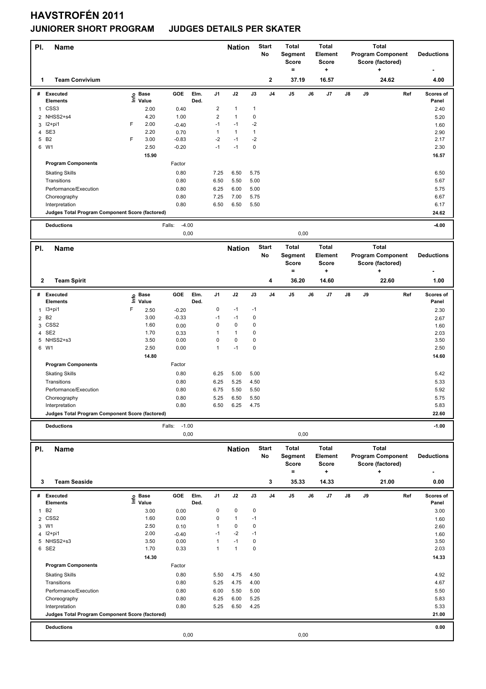## **HAVSTROFÉN 2011**

## **JUNIORER SHORT PROGRAM JUDGES DETAILS PER SKATER**

| PI.          | <b>Name</b>                                                       |   |                   |                           |              |                      | <b>Nation</b>             |                      | <b>Start</b><br><b>No</b> | <b>Total</b><br>Segment<br>Score |    | <b>Total</b><br><b>Element</b><br><b>Score</b> |    |    | <b>Total</b><br><b>Program Component</b><br>Score (factored) |     | <b>Deductions</b>  |
|--------------|-------------------------------------------------------------------|---|-------------------|---------------------------|--------------|----------------------|---------------------------|----------------------|---------------------------|----------------------------------|----|------------------------------------------------|----|----|--------------------------------------------------------------|-----|--------------------|
| 1            | <b>Team Convivium</b>                                             |   |                   |                           |              |                      |                           |                      | $\mathbf{2}$              | $\equiv$<br>37.19                |    | ٠<br>16.57                                     |    |    | ٠<br>24.62                                                   |     | 4.00               |
|              | # Executed<br><b>Elements</b>                                     |   | e Base<br>⊑ Value | GOE                       | Elm.<br>Ded. | J <sub>1</sub>       | J2                        | J3                   | J <sub>4</sub>            | J5                               | J6 | J7                                             | J8 | J9 |                                                              | Ref | Scores of<br>Panel |
| 1            | CSS <sub>3</sub>                                                  |   | 2.00              | 0.40                      |              | $\overline{2}$       | $\mathbf{1}$              | $\mathbf{1}$         |                           |                                  |    |                                                |    |    |                                                              |     | 2.40               |
|              | 2 NHSS2+s4                                                        |   | 4.20              | 1.00                      |              | $\overline{2}$       | $\mathbf{1}$              | $\pmb{0}$            |                           |                                  |    |                                                |    |    |                                                              |     | 5.20               |
|              | 3 l2+pi1                                                          | F | 2.00              | $-0.40$                   |              | $-1$<br>$\mathbf{1}$ | $-1$<br>$\mathbf{1}$      | $-2$                 |                           |                                  |    |                                                |    |    |                                                              |     | 1.60               |
|              | 4 SE3<br>5 B <sub>2</sub>                                         | F | 2.20<br>3.00      | 0.70<br>$-0.83$           |              | $-2$                 | $-1$                      | $\mathbf{1}$<br>$-2$ |                           |                                  |    |                                                |    |    |                                                              |     | 2.90<br>2.17       |
| 6            | W1                                                                |   | 2.50              | $-0.20$                   |              | $-1$                 | $-1$                      | $\pmb{0}$            |                           |                                  |    |                                                |    |    |                                                              |     | 2.30               |
|              |                                                                   |   | 15.90             |                           |              |                      |                           |                      |                           |                                  |    |                                                |    |    |                                                              |     | 16.57              |
|              | <b>Program Components</b>                                         |   |                   | Factor                    |              |                      |                           |                      |                           |                                  |    |                                                |    |    |                                                              |     |                    |
|              | <b>Skating Skills</b>                                             |   |                   | 0.80                      |              | 7.25                 | 6.50                      | 5.75                 |                           |                                  |    |                                                |    |    |                                                              |     | 6.50               |
|              | Transitions                                                       |   |                   | 0.80<br>0.80              |              | 6.50<br>6.25         | 5.50<br>6.00              | 5.00                 |                           |                                  |    |                                                |    |    |                                                              |     | 5.67               |
|              | Performance/Execution<br>Choreography                             |   |                   | 0.80                      |              | 7.25                 | 7.00                      | 5.00<br>5.75         |                           |                                  |    |                                                |    |    |                                                              |     | 5.75<br>6.67       |
|              | Interpretation                                                    |   |                   | 0.80                      |              | 6.50                 | 6.50                      | 5.50                 |                           |                                  |    |                                                |    |    |                                                              |     | 6.17               |
|              | Judges Total Program Component Score (factored)                   |   |                   |                           |              |                      |                           |                      |                           |                                  |    |                                                |    |    |                                                              |     | 24.62              |
|              | <b>Deductions</b>                                                 |   |                   | $-4.00$<br>Falls:         |              |                      |                           |                      |                           |                                  |    |                                                |    |    |                                                              |     | $-4.00$            |
|              |                                                                   |   |                   | 0,00                      |              |                      |                           |                      |                           | 0,00                             |    |                                                |    |    |                                                              |     |                    |
| PI.          | <b>Name</b>                                                       |   |                   |                           |              |                      | <b>Nation</b>             |                      | <b>Start</b>              | <b>Total</b>                     |    | <b>Total</b>                                   |    |    | <b>Total</b>                                                 |     |                    |
|              |                                                                   |   |                   |                           |              |                      |                           |                      | No                        | Segment<br><b>Score</b>          |    | Element<br><b>Score</b>                        |    |    | <b>Program Component</b><br>Score (factored)                 |     | <b>Deductions</b>  |
|              |                                                                   |   |                   |                           |              |                      |                           |                      |                           | $\equiv$                         |    | ٠                                              |    |    | ÷                                                            |     |                    |
| 2            | <b>Team Spirit</b>                                                |   |                   |                           |              |                      |                           |                      | 4                         | 36.20                            |    | 14.60                                          |    |    | 22.60                                                        |     | 1.00               |
| #            | <b>Executed</b><br><b>Elements</b>                                | Ξ | ၉ Base<br>Value   | GOE                       | Elm.<br>Ded. | J1                   | J2                        | J3                   | J <sub>4</sub>            | J5                               | J6 | J7                                             | J8 | J9 |                                                              | Ref | Scores of<br>Panel |
| $\mathbf{1}$ | $13+pi1$                                                          | F | 2.50              | $-0.20$                   |              | 0                    | $-1$                      | $-1$                 |                           |                                  |    |                                                |    |    |                                                              |     | 2.30               |
| 3            | 2 B <sub>2</sub><br>CSS <sub>2</sub>                              |   | 3.00<br>1.60      | $-0.33$<br>0.00           |              | $-1$<br>0            | $-1$<br>$\mathbf 0$       | $\pmb{0}$<br>0       |                           |                                  |    |                                                |    |    |                                                              |     | 2.67<br>1.60       |
|              | 4 SE2                                                             |   | 1.70              | 0.33                      |              | $\mathbf{1}$         | $\mathbf{1}$              | $\pmb{0}$            |                           |                                  |    |                                                |    |    |                                                              |     | 2.03               |
|              | 5 NHSS2+s3                                                        |   | 3.50              | 0.00                      |              | 0                    | $\mathbf 0$               | $\pmb{0}$            |                           |                                  |    |                                                |    |    |                                                              |     | 3.50               |
|              | 6 W1                                                              |   | 2.50              | 0.00                      |              | $\mathbf{1}$         | $-1$                      | $\pmb{0}$            |                           |                                  |    |                                                |    |    |                                                              |     | 2.50               |
|              |                                                                   |   | 14.80             |                           |              |                      |                           |                      |                           |                                  |    |                                                |    |    |                                                              |     | 14.60              |
|              | <b>Program Components</b>                                         |   |                   | Factor<br>0.80            |              | 6.25                 | 5.00                      | 5.00                 |                           |                                  |    |                                                |    |    |                                                              |     | 5.42               |
|              | <b>Skating Skills</b><br>Transitions                              |   |                   | 0.80                      |              | 6.25                 | 5.25                      | 4.50                 |                           |                                  |    |                                                |    |    |                                                              |     | 5.33               |
|              | Performance/Execution                                             |   |                   | 0.80                      |              | 6.75                 | 5.50                      | 5.50                 |                           |                                  |    |                                                |    |    |                                                              |     | 5.92               |
|              | Choreography                                                      |   |                   | 0.80                      |              | 5.25                 | 6.50                      | 5.50                 |                           |                                  |    |                                                |    |    |                                                              |     | 5.75               |
|              | Interpretation                                                    |   |                   | 0.80                      |              | 6.50                 | 6.25                      | 4.75                 |                           |                                  |    |                                                |    |    |                                                              |     | 5.83               |
|              | Judges Total Program Component Score (factored)                   |   |                   |                           |              |                      |                           |                      |                           |                                  |    |                                                |    |    |                                                              |     | 22.60              |
|              | <b>Deductions</b>                                                 |   |                   | $-1.00$<br>Falls:<br>0,00 |              |                      |                           |                      |                           | 0,00                             |    |                                                |    |    |                                                              |     | $-1.00$            |
| PI.          | <b>Name</b>                                                       |   |                   |                           |              |                      | <b>Nation</b>             |                      | <b>Start</b>              | <b>Total</b>                     |    | Total                                          |    |    | <b>Total</b>                                                 |     |                    |
|              |                                                                   |   |                   |                           |              |                      |                           |                      | No                        | Segment<br><b>Score</b>          |    | Element<br>Score                               |    |    | <b>Program Component</b><br>Score (factored)                 |     | <b>Deductions</b>  |
| 3            | <b>Team Seaside</b>                                               |   |                   |                           |              |                      |                           |                      | 3                         | $\equiv$<br>35.33                |    | $\ddot{}$<br>14.33                             |    |    | $\ddot{}$<br>21.00                                           |     | 0.00               |
|              |                                                                   |   |                   |                           |              |                      |                           |                      |                           |                                  |    |                                                |    |    |                                                              |     |                    |
|              | # Executed<br><b>Elements</b>                                     |   | e Base<br>⊑ Value | GOE                       | Elm.<br>Ded. | J1                   | J2                        | $\mathsf{J3}$        | J <sub>4</sub>            | J5                               | J6 | J7                                             | J8 | J9 |                                                              | Ref | Scores of<br>Panel |
| $\mathbf{1}$ | B <sub>2</sub><br>2 CSS2                                          |   | 3.00<br>1.60      | 0.00<br>0.00              |              | 0<br>0               | $\pmb{0}$<br>$\mathbf{1}$ | $\pmb{0}$<br>$-1$    |                           |                                  |    |                                                |    |    |                                                              |     | 3.00<br>1.60       |
|              | 3 W1                                                              |   | 2.50              | 0.10                      |              | $\mathbf{1}$         | 0                         | 0                    |                           |                                  |    |                                                |    |    |                                                              |     | 2.60               |
|              | 4 12+pi1                                                          |   | 2.00              | $-0.40$                   |              | $-1$                 | $-2$                      | $-1$                 |                           |                                  |    |                                                |    |    |                                                              |     | 1.60               |
|              | 5 NHSS2+s3                                                        |   | 3.50              | 0.00                      |              | 1                    | $-1$                      | $\pmb{0}$            |                           |                                  |    |                                                |    |    |                                                              |     | 3.50               |
|              | 6 SE2                                                             |   | 1.70<br>14.30     | 0.33                      |              | $\mathbf{1}$         | $\mathbf{1}$              | $\mathbf 0$          |                           |                                  |    |                                                |    |    |                                                              |     | 2.03<br>14.33      |
|              | <b>Program Components</b>                                         |   |                   | Factor                    |              |                      |                           |                      |                           |                                  |    |                                                |    |    |                                                              |     |                    |
|              | <b>Skating Skills</b>                                             |   |                   | 0.80                      |              | 5.50                 | 4.75                      | 4.50                 |                           |                                  |    |                                                |    |    |                                                              |     | 4.92               |
|              | Transitions                                                       |   |                   | 0.80                      |              | 5.25                 | 4.75                      | 4.00                 |                           |                                  |    |                                                |    |    |                                                              |     | 4.67               |
|              | Performance/Execution                                             |   |                   | 0.80                      |              | 6.00                 | 5.50                      | 5.00                 |                           |                                  |    |                                                |    |    |                                                              |     | 5.50               |
|              | Choreography                                                      |   |                   | 0.80                      |              | 6.25                 | 6.00                      | 5.25                 |                           |                                  |    |                                                |    |    |                                                              |     | 5.83               |
|              | Interpretation<br>Judges Total Program Component Score (factored) |   |                   | 0.80                      |              | 5.25                 | 6.50                      | 4.25                 |                           |                                  |    |                                                |    |    |                                                              |     | 5.33<br>21.00      |
|              |                                                                   |   |                   |                           |              |                      |                           |                      |                           |                                  |    |                                                |    |    |                                                              |     |                    |
|              | <b>Deductions</b>                                                 |   |                   | 0,00                      |              |                      |                           |                      |                           | 0,00                             |    |                                                |    |    |                                                              |     | 0.00               |
|              |                                                                   |   |                   |                           |              |                      |                           |                      |                           |                                  |    |                                                |    |    |                                                              |     |                    |